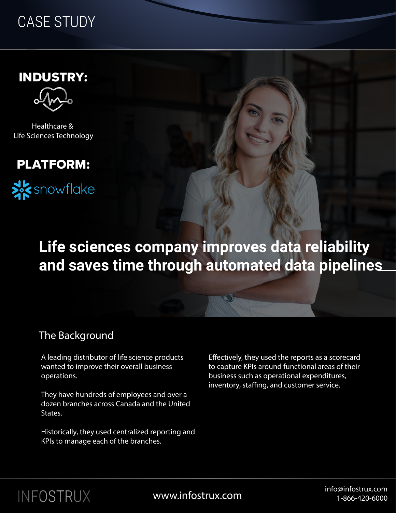## CASE STUDY

INDUSTRY:

Healthcare & Life Sciences Technology





## **Life sciences company improves data reliability and saves time through automated data pipelines**

### The Background

A leading distributor of life science products wanted to improve their overall business operations.

They have hundreds of employees and over a dozen branches across Canada and the United States.

Historically, they used centralized reporting and KPIs to manage each of the branches.

Effectively, they used the reports as a scorecard to capture KPIs around functional areas of their business such as operational expenditures, inventory, staffing, and customer service.



info@infostrux.com info@infostrux.com info@infostrux.com info@infostrux.com 1-866-420-6000